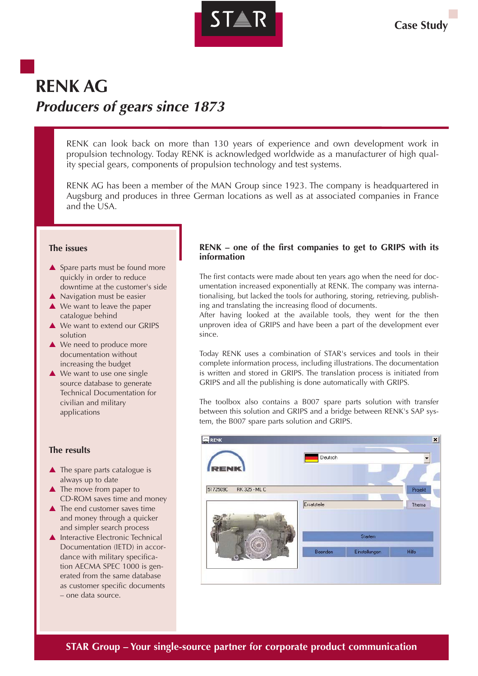

# **RENK AG Producers of gears since 1873**

RENK can look back on more than 130 years of experience and own development work in propulsion technology. Today RENK is acknowledged worldwide as a manufacturer of high quality special gears, components of propulsion technology and test systems.

RENK AG has been a member of the MAN Group since 1923. The company is headquartered in Augsburg and produces in three German locations as well as at associated companies in France and the USA.

### **The issues**

- ▲ Spare parts must be found more quickly in order to reduce downtime at the customer's side
- ▲ Navigation must be easier
- **▲ We want to leave the paper** catalogue behind
- ▲ We want to extend our GRIPS solution
- ▲ We need to produce more documentation without increasing the budget
- ▲ We want to use one single source database to generate Technical Documentation for civilian and military applications

## **The results**

- $\blacktriangle$  The spare parts catalogue is always up to date
- ▲ The move from paper to CD-ROM saves time and money
- $\blacktriangle$  The end customer saves time and money through a quicker and simpler search process
- $\triangle$  Interactive Electronic Technical Documentation (IETD) in accordance with military specification AECMA SPEC 1000 is generated from the same database as customer specific documents – one data source.

## **RENK – one of the first companies to get to GRIPS with its information**

The first contacts were made about ten years ago when the need for documentation increased exponentially at RENK. The company was internationalising, but lacked the tools for authoring, storing, retrieving, publishing and translating the increasing flood of documents.

After having looked at the available tools, they went for the then unproven idea of GRIPS and have been a part of the development ever since.

Today RENK uses a combination of STAR's services and tools in their complete information process, including illustrations. The documentation is written and stored in GRIPS. The translation process is initiated from GRIPS and all the publishing is done automatically with GRIPS.

The toolbox also contains a B007 spare parts solution with transfer between this solution and GRIPS and a bridge between RENK's SAP system, the B007 spare parts solution and GRIPS.

| <b>RENK</b><br>۵                 | Deutsch     |               |                  |
|----------------------------------|-------------|---------------|------------------|
| ENI<br>5172509C<br>RK 325 - ML C | Ersatzteile |               | Projekt<br>Thema |
| æ.                               |             | Starten       |                  |
|                                  | Beenden     | Einstellungen | <b>Hilfe</b>     |